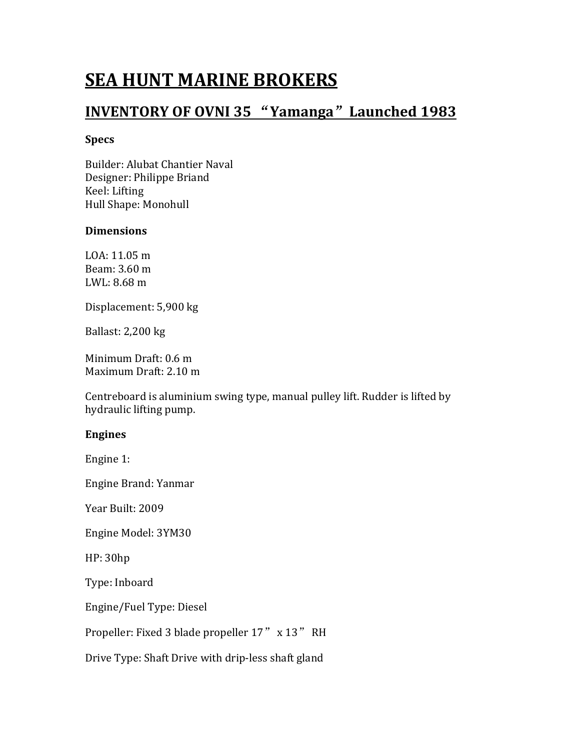# **SEA HUNT MARINE BROKERS<br>INVENTORY OF OVNI 35 "Yamanga" Launched 1983**<br><sub>Specs</sub> SEA HUNT MARINE BROKERS<br>INVENTORY OF OVNI 35 "Yamanga" Launched 1983<br>Specs<br>Builder: Alubat Chantier Naval

# Specs

**SEA HUNT MARINE BROKERS<br>INVENTORY OF OVNI 35 "Yamanga" Launched 1983**<br>Specs<br>Builder: Alubat Chantier Naval<br>Designer: Philippe Briand<br>Keel: Lifting<br>Keel: Lifting<br>Hull Shape: Monohull **SEA HUNT MARINE BROKERS<br>INVENTORY OF OVNI 35 "Yamanga" Launched 1983**<br>Specs<br>Builder: Alubat Chantier Naval<br>Designer: Philippe Briand<br>Keel: Lifting<br>Hull Shape: Monohull<br>Dimensions **SEA HUNT MARINE BROKERS<br>INVENTORY OF OVNI 35 "Yamanga" Launched<br>Specs<br>Builder: Alubat Chantier Naval<br>Designer: Philippe Briand<br>Keel: Lifting<br>Hull Shape: Monohull<br>Dimensions SEA HUNT MARINE BROKERS<br>INVENTORY OF OVNI 35 "Yamanga" Launched 1983**<br>Specs<br>Builder: Alubat Chantier Naval<br>Designer: Philippe Briand<br>Keel: Lifting<br>Hull Shape: Monohull<br>Dimensions<br>LOA: 11.05 m **SEA HUNT MARINE BROKERS<br>INVENTORY OF OVNI 35 "Yamanga" Launched 1983**<br>Specs<br>Builder: Alubat Chantier Naval<br>Designer: Philippe Briand<br>Keel: Lifting<br>Hull Shape: Monohull<br>Dimensions<br>LOA: 11.05 m<br>Beam: 3.60 m<br>Ream: 3.60 m<br>LWL **SEA HUNT MARINE BROKERS<br>INVENTORY OF OVNI 35 "Yamanga" Launched 1983**<br>Specs<br>Builder: Alubat Chantier Naval<br>Designer: Philippe Briand<br>Keel: Lifting<br>Hull Shape: Monohull<br>Dimensions<br>LOA: 11.05 m<br>Beam: 3.60 m<br>LWL: 8.68 m<br>Disp **SEA HUNT MARINE BROKERS<br>
INVENTORY OF OVNI 35 "Yamanga" Launched 198**<br>
Specs<br>
Builder: Alubat Chantier Naval<br>
Designer: Philippe Briand<br>
Keel: Lifting<br>
Hull Shape: Monohull<br>
Dimensions<br>
LOA: 11.05 m<br>
Beam: 3.60 m<br>
LWL: 8. **SEA HUNT MARINE BROKERS<br>
INVENTORY OF OVNI 35 "Yamanga" Launched 1983**<br>
Spess<br>
Builder: Alubat Chantier Naval<br>
Dissigner: Phlippe Briand<br>
Keel: Lifting<br>
Hull Shape: Monohull<br>
Dimensions<br>
LOA: 11.05 m<br>
Beam: 3.60 m<br>
LWL: 8 **INVENTORY OF OVNI 35 "Yamanga" Launched 1983**<br>Specs<br>Builder: Alubat Chantier Naval<br>Designer: Philippe Briand<br>Keel: Lifting<br>Hull Shape: Monohull<br>Dimensions<br>LOA: 11.05 m<br>Beam: 3.60 m<br>LWL: 8.68 m<br>Displacement: 5,900 kg<br>Balla

# Dimensions

**INVENTORY OF OVNI 35 Yamanga Launched 1983**<br>
Specs<br>
Builder: Alubat Chantier Naval<br>
Designer: Philippe Briand<br>
Keel: Lifting<br>
Hull Shape: Monohull<br>
Dimensions<br>
LOA: 11.05 m<br>
Beam: 3.60 m<br>
Displacement: 5,900 kg<br>
Ballast: Specs<br>
Builder: Alubat Chantier Naval<br>
Designer: Philippe Briand<br>
Keel: Lifting<br>
Hull Shape: Monohull<br>
Dimensions<br>
LOA: 11.05 m<br>
Beam: 3.60 m<br>
LWL: 8.68 m<br>
Displacement: 5,900 kg<br>
Ballast: 2,200 kg<br>
Minimum Draft: 0.6 m<br>
M Builder: Alubat Chantier Naval<br>Reel: Lifting<br>Keel: Lifting<br>Hull Shape: Monohull<br>Dimensions<br>Beam: 3.60 m<br>Beam: 3.60 m<br>Beam: 3.60 m<br>Bisplacement: 5,900 kg<br>Ballast: 2,200 kg<br>Minimum Draft: 0.6 m<br>Maximum Draft: 2.10 m<br>Centrebo Builder: Alubat Chantier Naval<br>Designer: Philippe Briand<br>Reel: Lifting<br>Hull Shape: Monohull<br>Dimensions<br>LOA: 11.05 m<br>Beam: 3.60 m<br>Naxim 2.500 kg<br>Ballast: 2,200 kg<br>Minimum Draft: 0.6 m<br>Maximum Draft: 2.10 m<br>Centreboard is al **Dimensions**<br>
LOA: 11.05 m<br>
Beam: 3.60 m<br>
LWL: 8.68 m<br>
Displacement: 5,900 kg<br>
Ballast: 2,200 kg<br>
Minimum Draft: 0.6 m<br>
Maximum Draft: 2.10 m<br>
Centreboard is aluminium swing type, manual pulley lift. Rudder is lifte<br>
hydra LOA: 11.05 m<br>Beam: 3.60 m<br>LWL: 8.68 m<br>LWL: 8.68 m<br>Displacement: 5,900 kg<br>Ballast: 2,200 kg<br>Minimum Draft: 0.6 m<br>Maximum Draft: 2.10 m<br>Centreboard is aluminium swing type, manual pulley lift. Rudder is lifted by<br>hydraulic l Beam: 3.60 m<br>LWL: 8.68 m<br>LWL: 8.68 m<br>Bisplacement: 5,900 kg<br>Ballast: 2,200 kg<br>Minimum Draft: 0.6 m<br>Maximum Draft: 2.10 m<br>Centreboard is aluminium swing type, manual pulley lift. Rudder is lifted by<br>hydraulic lifting pump.<br> Bisplacement: 5,900 kg<br>Ballast: 2,200 kg<br>Minimum Draft: 0.6 m<br>Maximum Draft: 2.10 m<br>Centreboard is aluminium swing type, manual pulley lift. Rudder is lifted by<br>bydraulic lifting pump.<br>Engines<br>Engine Brand: Yanmar<br>Year Bui Ballast: 2,200 kg<br>Ballast: 2,200 kg<br>Minimum Draft: 0.6 m<br>Maximum Draft: 2.10 m<br>Centreboard is aluminium swing type, manual pulley lift. Rudder is l<br>hydraulic lifting pump.<br>Engines<br>Engine 1:<br>Engine Brand: Yanmar<br>Year Built: Minimum Draft: 0.6 m<br>Maximum Draft: 2.10 m<br>Centreboard is aluminium swing type, manual pulley lift. Rudder is lift<br>hydraulic lifting pump.<br>**Engines**<br>Engine 1:<br>Engine Brand: Yanmar<br>Year Built: 2009<br>HP: 30hp<br>Type: Inboard<br>En mmmum Draft: 2.10 m<br>Maximum Draft: 2.10 m<br>Centreboard is aluminium swing type, manual pulley lift. Rudder is lifted by<br>hydraulic lifting pump.<br>**Engines**<br>Engine Brand: Yanmar<br>Year Built: 2009<br>Engine Model: 3YM30<br>HP: 30hp<br>Ty Centreboard is aluminium swing type, manual pulley lift. Rudder is lifted by<br>hydraulic lifting pump.<br>**Engines**<br>Engine Brand: Yanmar<br>Year Built: 2009<br>Hegine Model: 3YM30<br>Type: Inboard<br>Type: Inboard<br>Engine/Fuel Type: Diesel<br>

# Engines

ryoraunt inting pump.<br>
Engine S<br>
Engine Brand: Yanmar<br>
Year Built: 2009<br>
Engine Model: 3YM30<br>
HP: 30hp<br>
Type: Inboard<br>
Engine/Fuel Type: Diesel<br>
Propeller: Fixed 3 blade propeller 17" x 13" RH<br>
Drive Type: Shaft Drive with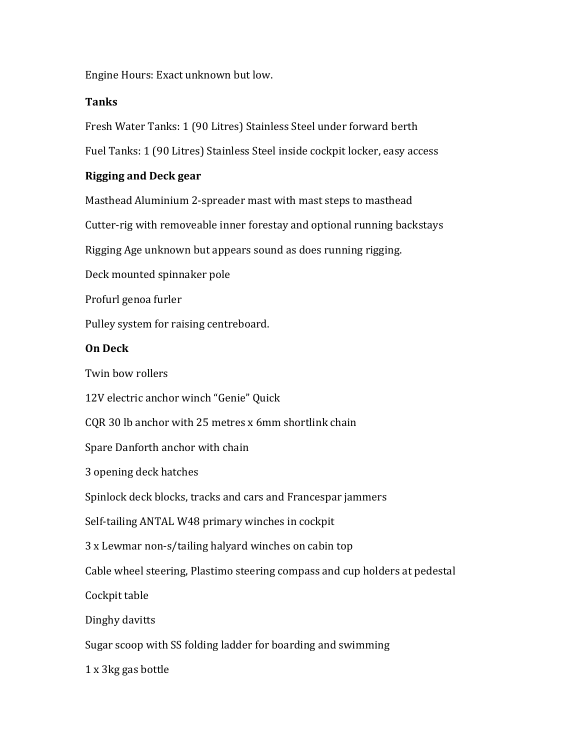# Tanks

Engine Hours: Exact unknown but low.<br>**Tanks**<br>Fresh Water Tanks: 1 (90 Litres) Stainless Steel under forward berth Fresh Water Tanks: 1 (90 Litres) Stainless Steel under forward bert<br>Fresh Water Tanks: 1 (90 Litres) Stainless Steel inside cockpit locker, easy a<br>**Rigging and Deck gear**<br>Masthead Aluminium 2-spreader mast with mast steps

Engine Hours: Exact unknown but low.<br>**Tanks**<br>Fresh Water Tanks: 1 (90 Litres) Stainless Steel under forward berth<br>Fuel Tanks: 1 (90 Litres) Stainless Steel inside cockpit locker, easy access<br>**Rigging and Deck gear** Engine Hours: Exact unknown but low.<br>Ta**nks**<br>Fresh Water Tanks: 1 (90 Litres) Stainless Steel under forward berth<br>Fuel Tanks: 1 (90 Litres) Stainless Steel inside cockpit locker, easy access<br>**Rigging and Deck gear**<br>Masthea

Engine Hours: Exact unknown but low.<br>**Tanks**<br>Fresh Water Tanks: 1 (90 Litres) Stainless Steel under forward berth<br>Fuel Tanks: 1 (90 Litres) Stainless Steel inside cockpit locker, easy access<br>**Rigging and Deck gear**<br>Masthea Engine Hours: Exact unknown but low.<br>**Tanks**<br>Fresh Water Tanks: 1 (90 Litres) Stainless Steel under forward berth<br>Fuel Tanks: 1 (90 Litres) Stainless Steel inside cockpit locker, easy access<br>**Rigging and Deck gear**<br>Masthea Engine Hours: Exact unknown but low.<br>Tanks<br>Fresh Water Tanks: 1 (90 Litres) Stainless Steel under forward berth<br>Fuel Tanks: 1 (90 Litres) Stainless Steel inside cockpit locker, easy access<br>**Rigging and Deck gear**<br>Masthead Engine Hours: Exact unknown but low.<br> **Tanks**<br>
Fresh Water Tanks: 1 (90 Litres) Stainless Steel under forward berth<br>
Fuel Tanks: 1 (90 Litres) Stainless Steel inside cockpit locker, easy access<br> **Rigging and Deck gear**<br>
Ma Engine Hours: Exact unknown but low.<br> **Tanks**<br>
Fresh Water Tanks: 1 (90 Litres) Stainless Steel under forward berth<br>
Fuel Tanks: 1 (90 Litres) Stainless Steel inside cockpit locker, easy access<br> **Rigging and Deck gear**<br>
Ma Engine Hours: Exact unknown but low.<br> **Tanks**<br>
Fresh Water Tanks: 1 (90 Litres) Stainless Steel under forward berth<br>
Fuel Tanks: 1 (90 Litres) Stainless Steel inside cockpit locker, easy access<br> **Rigging and Deck gear**<br>
Ma Eaglie Foulas: Exact unknown but low.<br> **Tanks**<br>
Fresh Water Tanks: 1 (90 Litres) Stainless Steel under forward berth<br>
Fuel Tanks: 1 (90 Litres) Stainless Steel inside cockpit locker, easy access<br> **Rigging and Deck gear**<br>
M resh water ranks: 1 (90 Litres) stainiess steel under forward berth<br>Fuel Tanks: 1 (90 Litres) Stainless Steel inside cockpit locker, easy access<br>Rigging and Deck gear<br>Masthead Aluminium 2-spreader mast with mast steps to m ruer ranks: 1 (90 Litres) stainiess steer inside cockpit locker, easy access<br>**Rigging and Deck gear**<br>Masthead Aluminium 2-spreader mast with mast steps to masthead<br>Cutter-rig with removeable inner forestay and optional run **Masthead Aluminium 2-spreader mast with mast steps to masthead<br>Cutter-rig with removeable inner forestay and optional running backstays<br>Rigging Age unknown but appears sound as does running rigging.<br>Deck mounted spinnaker** Masthead Aluminium 2-spreader mast with mast steps to masthead<br>Cutter-rig with removeable inner forestay and optional running backstays<br>Rigging Age unknown but appears sound as does running rigging.<br>Deck mounted spinnaker

Cutter-rig with removeable inner forestay and optional running backstays<br>Rigging Age unknown but appears sound as does running rigging.<br>Deck mounted spinnaker pole<br>Profurl genoa furler<br>Tulley system for raising centreboard

Rigging Age unknown but appears sound as does running rigging.<br>Deck mounted spinnaker pole<br>Profurl genoa furler<br>Pulley system for raising centreboard.<br>**On Deck**<br>Twin bow rollers<br>12V electric anchor winch "Genie" Quick<br>CQR

Profurl genoa furler<br>Profurl genoa furler<br>Pulley system for raising centreboard.<br>**On Deck**<br>Twin bow rollers<br>T2V electric anchor winch "Genie" Quick<br>CQR 30 lb anchor with 25 metres x 6mm shortlink chain<br>Spare Danforth ancho Proturi genoa turier<br>
Pulley system for raising centreboard.<br>
Twin bow rollers<br>
TWin bow rollers<br>
12V electric anchor winch "Genie" Quick<br>
CQR 30 lb anchor with 25 metres x 6mm shortlink chain<br>
Spare Danforth anchor with c Pulley system for raising centreooard.<br> **On Deck**<br>
Twin bow rollers<br>
12V electric anchor winch "Genie" Quick<br>
CQR 30 lb anchor with 25 metres x 6mm shortlink chain<br>
Spare Danforth anchor with chain<br>
3 opening deck hatches<br> Twin bow rollers<br>12V electric anchor winch "Genie" Quick<br>CQR 30 lb anchor with 25 metres x 6mm shortlink chain<br>Spare Danforth anchor with chain<br>3 opening deck hatches<br>Spinlock deck blocks, tracks and cars and Francespar ja 12V electric anchor winch "Genie" Quick<br>12V electric anchor winch "Genie" Quick<br>CQR 30 lb anchor with 25 metres x 6mm shortlink chain<br>5pare Danforth anchor with chain<br>3 opening deck hatches<br>5pinlock deck blocks, tracks and 12v electric anchor winch Genie Quick<br>CQR 30 lb anchor with 25 metres x 6mm shortlink chain<br>Spare Danforth anchor with chain<br>3 opening deck hatches<br>Spinlock deck blocks, tracks and cars and Francespar jammers<br>Self-tailing CQK 30 10 anchor with 25 metres x omm shortlink chain<br>Spare Danforth anchor with chain<br>3 opening deck hatches<br>Spinlock deck blocks, tracks and cars and Francespar jammers<br>Self-tailing ANTAL W48 primary winches in cockpit<br>3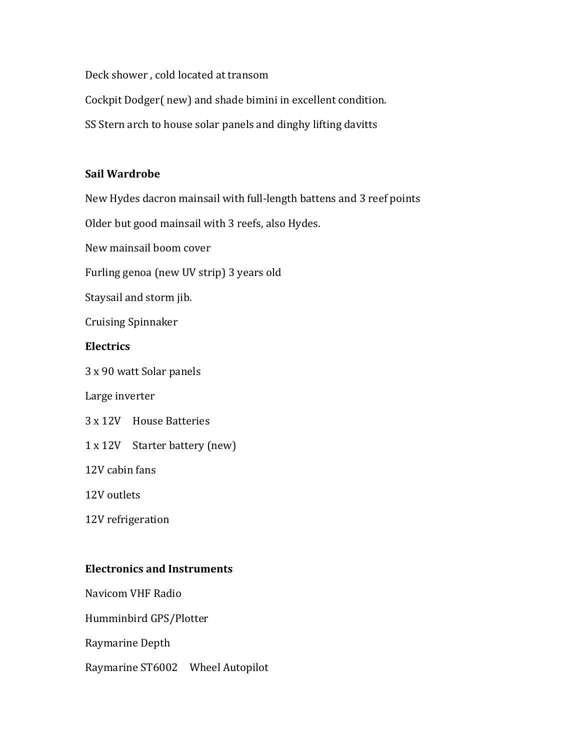Deck shower , cold located at transom<br>Cockpit Dodger( new) and shade bimini in excellent condition.<br>SS Stern arch to house solar panels and dinghy lifting davitts Deck shower , cold located at transom<br>Cockpit Dodger( new) and shade bimini in excellent condition.<br>SS Stern arch to house solar panels and dinghy lifting davitts Deck shower , cold located at transom<br>Cockpit Dodger( new) and shade bimini in excellent condition.<br>SS Stern arch to house solar panels and dinghy lifting davitts<br>Sail Wardrobe

Deck shower , cold located at transom<br>Cockpit Dodger( new) and shade bimini in excellent condition.<br>SS Stern arch to house solar panels and dinghy lifting davitts<br>Sail Wardrobe<br>New Hydes dacron mainsail with full-length ba Deck shower , cold located at transom<br>Cockpit Dodger( new) and shade bimini in excellent condition.<br>SS Stern arch to house solar panels and dinghy lifting davitts<br>**Sail Wardrobe**<br>New Hydes dacron mainsail with full-length Deck shower , cold located at transom<br>Cockpit Dodger( new) and shade bimini in excellent condition.<br>SS Stern arch to house solar panels and dinghy lifting davitts<br>**Sail Wardrobe**<br>New Hydes dacron mainsail with full-length Deck shower , cold located at transom<br>Cockpit Dodger( new) and shade bimini in excellent condition.<br>SS Stern arch to house solar panels and dinghy lifting davitts<br>**Sail Wardrobe**<br>New Hydes dacron mainsail with full-length Deck shower , cold located at transom<br>Cockpit Dodger( new) and shade bimini in excellent condition.<br>SS Stern arch to house solar panels and dinghy lifting davitts<br>**Sail Wardrobe**<br>New Hydes dacron mainsail with full-length Deck shower , cold located at transom<br>Cockpit Dodger( new) and shade bimini in excellent condition.<br>SS Stern arch to house solar panels and dinghy lifting davitts<br>**Sail Wardrobe**<br>New Hydes dacron mainsail with full-length Deck shower , cold located at transom<br>Cockpit Dodger( new) and shade bimini in excellent condition.<br>SS Stern arch to house solar panels and dinghy lifting davitts<br>**Sail Wardrobe**<br>New Hydes dacron mainsail with full-length Solar and the books solar panels and dinghy inting davits<br> **Sail Wardrobe**<br>
New Hydes dacron mainsail with full-length battens and 3 reef points<br>
Older but good mainsail with 3 reefs, also Hydes.<br>
New mainsail boom cover<br> Sail Wardrobe<br>
New Hydes dacron mainsail with full-length battens and 3 reef points<br>
Older but good mainsail with 3 reefs, also Hydes.<br>
New mainsail boom cover<br>
Furling genoa (new UV strip) 3 years old<br>
Staysail and storm Sall warurobe<br>
New Hydes dacron mainsail with full-length battens and 3 reef points<br>
Older but good mainsail with 3 reefs, also Hydes.<br>
New mainsail boom cover<br>
Furling genoa (new UV strip) 3 years old<br>
Staysail and storm

New Hydes dacron mainsall with full-length battens and 3 reer points<br>Older but good mainsall with 3 reefs, also Hydes.<br>New mainsall boom cover<br>Furling genoa (new UV strip) 3 years old<br>Staysail and storm jib.<br>Cruising Spinn

Dider but good mainsall with 3 reets, also hydes.<br>New mainsall boom cover<br>Furling genoa (new UV strip) 3 years old<br>Staysail and storm jib.<br>Cruising Spinnaker<br>**Electrics**<br>3 x 90 watt Solar panels<br>Large inverter<br>3 x 12V Hous New mainsali boom cover<br>Furling genoa (new UV strip) 3 years old<br>Staysail and storm jib.<br>Cruising Spinnaker<br>**Electrics**<br>3 x 90 watt Solar panels<br>Large inverter<br>3 x 12V House Batteries<br>1 x 12V Starter battery (new)<br>12V cabi

# **Electrics**

Furning genoa (new OV strip) 5 years old<br>Staysail and storm jib.<br>Cruising Spinnaker<br>**Electrics**<br>3 x 90 watt Solar panels<br>Large inverter<br>3 x 12V House Batteries<br>1 x 12V Starter battery (new)<br>12V cabin fans<br>12V outlets<br>12V r Cruising Spinnaker<br>
Electrics<br>
3 x 90 watt Solar panels<br>
Large inverter<br>
3 x 12V Bouse Batteries<br>
1 x 12V Starter battery (new)<br>
12V cabin fans<br>
12V outlets<br>
12V refrigeration<br>
Electronics and Instruments<br>
Navicom VHF Radi Electrics<br>
3 x 90 watt Solar panels<br>
Large inverter<br>
1 x 12V Bouse Batteries<br>
1 x 12V Starter battery (new)<br>
12V cabin fans<br>
12V outlets<br>
12V refrigeration<br>
Electronics and Instruments<br>
Navicom VHF Radio<br>
Humminbird GPS/Pl

3 x 30 watt solar palles<br>Large inverter<br>3 x 12V Bouse Batteries<br>1 x 12V Starter battery (new)<br>12V couldets<br>12V refrigeration<br>12V refrigeration<br>Navicom VHF Radio<br>Humminbird GPS/Plotter<br>Raymarine Depth<br>Naymarine Depth Large Inverter<br>
3 x 12V Bouse Batteries<br>
1 x 12V Starter battery (new)<br>
12V cabin fans<br>
12V outlets<br>
12V refrigeration<br>
Electronics and Instruments<br>
Navicom VHF Radio<br>
Humminbird GPS/Plotter<br>
Raymarine Depth<br>
Raymarine ST6 3 x 12v House Batteries<br>1 x 12V Starter battery (new)<br>12V cabin fans<br>12V outlets<br>12V refrigeration<br>Electronics and Instruments<br>Navicom VHF Radio<br>Humminbird GPS/Plotter<br>Raymarine Depth<br>Raymarine ST6002 Wheel Autopilot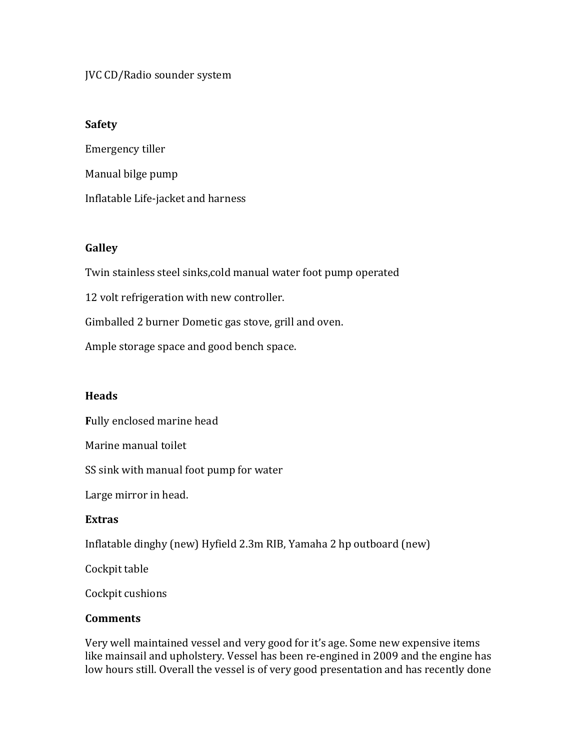# JVC CD/Radio sounder system

## Safety

JVC CD/Radio sounder system<br>Safety<br>Emergency tiller<br>Manual bilge pump<br>Inflatable Life-jacket and harness JVC CD/Radio sounder system<br>Safety<br>Emergency tiller<br>Manual bilge pump<br>Inflatable Life-jacket and harness JVC CD/Radio sounder system<br>Safety<br>Emergency tiller<br>Manual bilge pump<br>Inflatable Life-jacket and harness<br>Galley JVC CD/Radio sounder system<br>Emergency tiller<br>Manual bilge pump<br>Inflatable Life-jacket and harness<br>Galley<br>Twin stainless steel sinks,cold manual water foot pump operated<br>12 volt refrigeration with new controller.<br>Gimballed JVC CD/Radio sounder system<br> **Safety**<br>
Emergency tiller<br>
Manual bilge pump<br>
Inflatable Life-jacket and harness<br> **Galley**<br>
Twin stainless steel sinks,cold manual water foot pump operated<br>
12 volt refrigeration with new cont Safety<br>Emergency tiller<br>Manual bilge pump<br>Inflatable Life-jacket and harness<br>Galley<br>Twin stainless steel sinks,cold manual water foot pump operated<br>12 volt refrigeration with new controller.<br>Gimballed 2 burner Dometic gas Safety<br>Emergency tiller<br>Manual bilge pump<br>Inflatable Life-jacket and harness<br>Galley<br>Twin stainless steel sinks,cold manual water foot pump operated<br>12 volt refrigeration with new controller.<br>Gimballed 2 burner Dometic gas Manual Dilge pump<br>Inflatable Life-jacket and harness<br>Galley<br>Twin stainless steel sinks,cold manual water foot pump operated<br>12 volt refrigeration with new controller.<br>Gimballed 2 burner Dometic gas stove, grill and oven.<br>A

### **Galley**

Innatable Life-jacket and narness<br> **Galley**<br>
Twin stainless steel sinks,cold manual water foot pump operated<br>
12 volt refrigeration with new controller.<br>
Gimballed 2 burner Dometic gas stove, grill and oven.<br>
Ample storage Galley<br>Twin stainless steel sinks,cold manual water foot pump operated<br>12 volt refrigeration with new controller.<br>Gimballed 2 burner Dometic gas stove, grill and oven.<br>Ample storage space and good bench space.<br>Heads<br>Warine

### **Heads**

## Extras

Galley<br>Twin stainless steel sinks,cold manual water foot pump operated<br>12 volt refrigeration with new controller.<br>Gimballed 2 burner Dometic gas stove, grill and oven.<br>Ample storage space and good bench space.<br>**Heads**<br>Full 12 volt refrigeration with new controller.<br>Gimballed 2 burner Dometic gas stove, grill and oven.<br>Ample storage space and good bench space.<br>**Heads**<br>Fully enclosed marine head<br>Marine manual toilet<br>SS sink with manual foot pu Gimballed 2 burner Dometic gas stove, grin and oven.<br>
Ample storage space and good bench space.<br>
Heads<br>
Fully enclosed marine head<br>
Marine manual toilet<br>
SS sink with manual foot pump for water<br>
Large mirror in head.<br>
Extr

### **Comments**

Ample storage space and good bench space.<br>
Heads<br>
Fully enclosed marine head<br>
Marine manual toilet<br>
SS sink with manual foot pump for water<br>
Large mirror in head.<br>
Extras<br>
Inflatable dinghy (new) Hyfield 2.3m RIB, Yamaha 2 reaus<br>
Fully enclosed marine head<br>
SS sink with manual foot pump for water<br>
Large mirror in head.<br>
Large mirror in head.<br>
Large mirror in head.<br>
Cockpit table<br>
dinghy (new) Hyfield 2.3m RIB, Yamaha 2 hp outboard (new)<br>
Coc Fully enclosed marine head<br>Marine manual toilet<br>SS sink with manual foot pump for water<br>Large mirror in head.<br>**Extras**<br>Inflatable dinghy (new) Hyfield 2.3m RIB, Yamaha 2 hp outboard (new)<br>Cockpit table<br>Cockpit cushions<br>Com Marine manual toilet<br>SS sink with manual foot pump for water<br>Large mirror in head.<br>Extras<br>Inflatable dinghy (new) Hyfield 2.3m RIB, Yamaha 2 hp outboard (new)<br>Cockpit table<br>Cockpit table<br>Cockpit cushions<br>Somments<br>Nery well